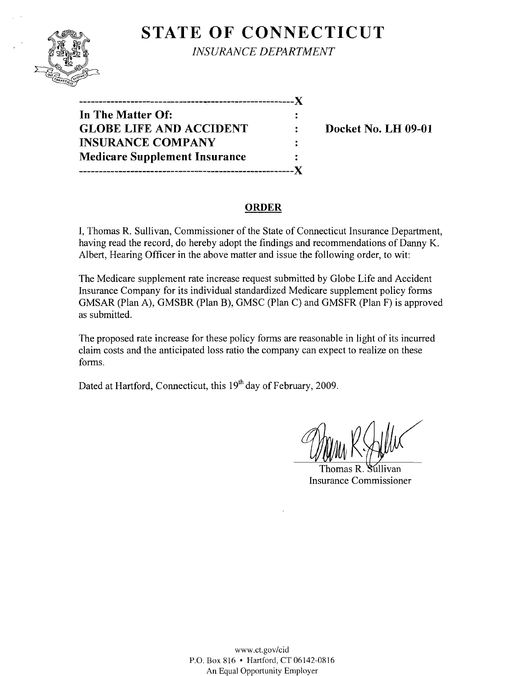

**STATE OF CONNECTICUT** 

*INSURANCE DEPARTMENT* 

| ------------------<br>--------       | X |
|--------------------------------------|---|
| In The Matter Of:                    |   |
| <b>GLOBE LIFE AND ACCIDENT</b>       | ÷ |
| <b>INSURANCE COMPANY</b>             |   |
| <b>Medicare Supplement Insurance</b> | ÷ |
|                                      |   |

**EXECUTE:** Docket No. LH 09-01

#### **ORDER**

I, Thomas R. Sullivan, Commissioner of the State of Connecticut Insurance Department, having read the record, do hereby adopt the findings and recommendations of Danny K. Albert, Hearing Officer in the above matter and issue the following order, to wit:

The Medicare supplement rate increase request submitted by Globe Life and Accident Insurance Company for its individual standardized Medicare supplement policy forms GMSAR (Plan A), GMSBR (Plan B), GMSC (Plan C) and GMSFR (Plan F) is approved as submitted.

The proposed rate increase for these policy forms are reasonable in light of its incurred claim costs and the anticipated loss ratio the company can expect to realize on these forms.

Dated at Hartford, Connecticut, this 19<sup>th</sup> day of February, 2009.

Thomas R. S Insurance Commissioner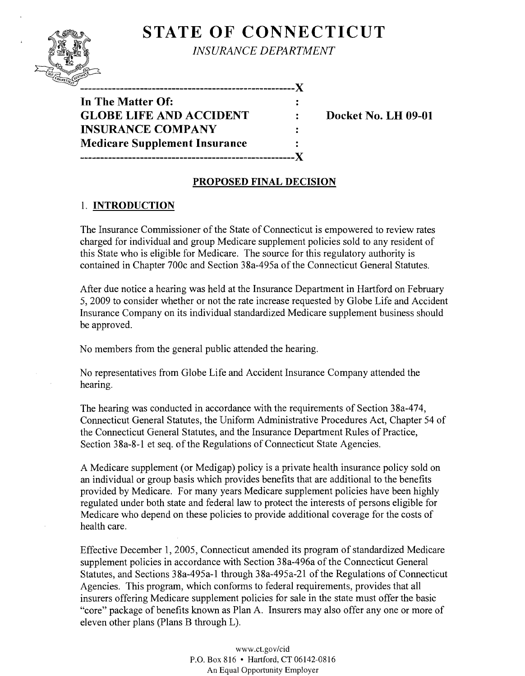# **STATE OF CONNECTICUT**



*INSURANCE DEPARTMENT* 

-------------------------------X

**In The Matter Of: GLOBE LIFE AND ACCIDENT : Docket No. LH 09-01 INSURANCE COMPANY Medicare Silpplement Insurance**  ...................................................... **X** 

## **PROPOSED FINAL DECISION**

 $\ddot{\cdot}$ 

### 1. **INTRODUCTION**

The Insurance Commissioner of the State of Connecticut is empowered to review rates charged for individual and group Medicare supplement policies sold to any resident of this State who is eligible for Medicare. The source for this regulatory authority is contained in Chapter 700c and Section 38a-495a of the Connecticut General Statutes.

After due notice a hearing was held at the Insurance Department in Hartford on February 5,2009 to consider whether or not the rate increase requested by Globe Life and Accident Insurance Company on its individual standardized Medicare supplement business should be approved.

No members from the general public attended the hearing.

No representatives from Globe Life and Accident Insurance Company attended the hearing.

The hearing was conducted in accordance with the requirements of Section 38a-474, Connecticut General Statutes, the Uniform Administrative Procedures Act, Chapter 54 of the Connecticut General Statutes, and the Insurance Department Rules of Practice, Section 38a-8-1 et seq. of the Regulations of Connecticut State Agencies.

A Medicare supplement (or Medigap) policy is a private health insurance policy sold on an individual or group basis which provides benefits that are additional to the benefits provided by Medicare. For many years Medicare supplement policies have been highly regulated under both state and federal law to protect the interests of persons eligible for Medicare who depend on these policies to provide additional coverage for the costs of health care.

Effective December 1,2005, Connecticut amended its program of standardized Medicare supplement policies in accordance with Section 38a-496a of the Connecticut General Statutes, and Sections 38a-495a-1 through 38a-495a-21 of the Regulations of Connecticut Agencies. This program, which conforms to federal requirements, provides that all insurers offering Medicare supplement policies for sale in the state must offer the basic "core" package of benefits known as Plan A. Insurers may also offer any one or more of eleven other plans (Plans B through L).

> www.ct.gov/cid P.O. Box 816 • Hartford, CT 06142-0816 An Equal Opportunity Employer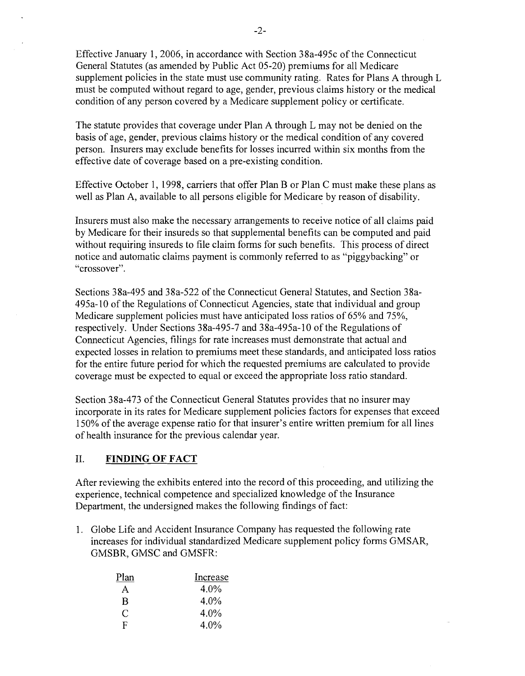Effective January 1,2006, in accordance with Section 38a-495c of the Connecticut General Statutes (as amended by Public Act 05-20) premiums for all Medicare supplement policies in the state must use community rating. Rates for Plans A through L must be computed without regard to age, gender, previous claims history or the medical condition of any person covered by a Medicare supplement policy or certificate.

The statute provides that coverage under Plan A through L may not be denied on the basis of age, gender, previous claims history or the medical condition of any covered person. Insurers may exclude benefits for losses incurred within six months from the effective date of coverage based on a pre-existing condition.

Effective October 1, 1998, carriers that offer Plan B or Plan C must make these plans as well as Plan A, available to all persons eligible for Medicare by reason of disability.

Insurers must also make the necessary arrangements to receive notice of all claims paid by Medicare for their insureds so that supplemental benefits can be computed and paid without requiring insureds to file claim forms for such benefits. This process of direct notice and automatic claims payment is commonly referred to as "piggybacking" or "crossover".

Sections 38a-495 and 38a-522 of the Connecticut General Statutes, and Section 38a-495a- 10 of the Regulations of Connecticut Agencies, state that individual and group Medicare supplement policies must have anticipated loss ratios of 65% and 75%, respectively. Under Sections 38a-495-7 and 38a-495a-10 of the Regulations of Connecticut Agencies, filings for rate increases must demonstrate that actual and expected losses in relation to premiums meet these standards, and anticipated loss ratios for the entire future period for which the requested premiums are calculated to provide coverage must be expected to equal or exceed the appropriate loss ratio standard.

Section 38a-473 of the Connecticut General Statutes provides that no insurer may incorporate in its rates for Medicare supplement policies factors for expenses that exceed 150% of the average expense ratio for that insurer's entire written premium for all lines of health insurance for the previous calendar year.

#### II. **FINDING OF FACT**

After reviewing the exhibits entered into the record of this proceeding, and utilizing the experience, technical competence and specialized knowledge of the Insurance Department, the undersigned makes the following findings of fact:

1. Globe Life and Accident Insurance Company has requested the following rate increases for individual standardized Medicare supplement policy forms GMSAR, GMSBR, GMSC and GMSFR:

| Plan | Increase |
|------|----------|
| A    | 4.0%     |
| B    | $4.0\%$  |
| C    | 4.0%     |
| E.   | 4.0%     |